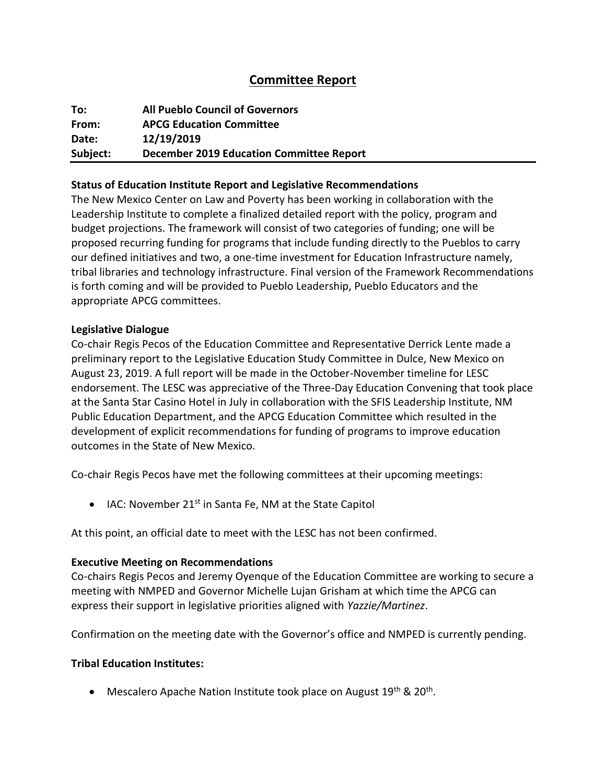# **Committee Report**

| To:      | <b>All Pueblo Council of Governors</b>          |
|----------|-------------------------------------------------|
| From:    | <b>APCG Education Committee</b>                 |
| Date:    | 12/19/2019                                      |
| Subject: | <b>December 2019 Education Committee Report</b> |

### **Status of Education Institute Report and Legislative Recommendations**

The New Mexico Center on Law and Poverty has been working in collaboration with the Leadership Institute to complete a finalized detailed report with the policy, program and budget projections. The framework will consist of two categories of funding; one will be proposed recurring funding for programs that include funding directly to the Pueblos to carry our defined initiatives and two, a one-time investment for Education Infrastructure namely, tribal libraries and technology infrastructure. Final version of the Framework Recommendations is forth coming and will be provided to Pueblo Leadership, Pueblo Educators and the appropriate APCG committees.

#### **Legislative Dialogue**

Co-chair Regis Pecos of the Education Committee and Representative Derrick Lente made a preliminary report to the Legislative Education Study Committee in Dulce, New Mexico on August 23, 2019. A full report will be made in the October-November timeline for LESC endorsement. The LESC was appreciative of the Three-Day Education Convening that took place at the Santa Star Casino Hotel in July in collaboration with the SFIS Leadership Institute, NM Public Education Department, and the APCG Education Committee which resulted in the development of explicit recommendations for funding of programs to improve education outcomes in the State of New Mexico.

Co-chair Regis Pecos have met the following committees at their upcoming meetings:

• IAC: November 21<sup>st</sup> in Santa Fe, NM at the State Capitol

At this point, an official date to meet with the LESC has not been confirmed.

#### **Executive Meeting on Recommendations**

Co-chairs Regis Pecos and Jeremy Oyenque of the Education Committee are working to secure a meeting with NMPED and Governor Michelle Lujan Grisham at which time the APCG can express their support in legislative priorities aligned with *Yazzie/Martinez*.

Confirmation on the meeting date with the Governor's office and NMPED is currently pending.

#### **Tribal Education Institutes:**

• Mescalero Apache Nation Institute took place on August 19<sup>th</sup> & 20<sup>th</sup>.